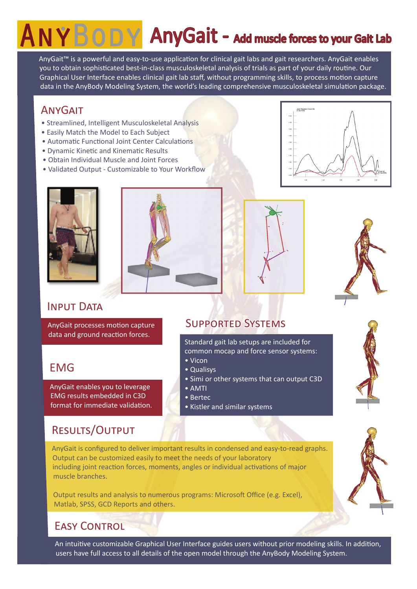# NYBODY AnyGait - Add muscle forces to your Gait Lab

AnyGait™ is a powerful and easy-to-use application for clinical gait labs and gait researchers. AnyGait enables you to obtain sophisticated best-in-class musculoskeletal analysis of trials as part of your daily routine. Our Graphical User Interface enables clinical gait lab staff, without programming skills, to process motion capture data in the AnyBody Modeling System, the world's leading comprehensive musculoskeletal simulation package.

### **ANYGAIT**

- Streamlined, Intelligent Musculoskeletal Analysis
- Easily Match the Model to Each Subject
- Automatic Functional Joint Center Calculations
- Dynamic Kinetic and Kinematic Results
- Obtain Individual Muscle and Joint Forces
- Validated Output Customizable to Your Workflow











### INPUT DATA

AnyGait processes motion capture data and ground reaction forces.

# EMG

AnyGait enables you to leverage EMG results embedded in C3D format for immediate validation.

# Results/Output

Supported Systems

Standard gait lab setups are included for common mocap and force sensor systems:

- Vicon
- Qualisys
- Simi or other systems that can output C3D
- AMTI
- Bertec
- Kistler and similar systems

AnyGait is configured to deliver important results in condensed and easy-to-read graphs. Output can be customized easily to meet the needs of your laboratory including joint reaction forces, moments, angles or individual activations of major muscle branches.

Output results and analysis to numerous programs: Microsoft Office (e.g. Excel), Matlab, SPSS, GCD Reports and others.

# **FASY CONTROL**

An intuitive customizable Graphical User Interface guides users without prior modeling skills. In addition, users have full access to all details of the open model through the AnyBody Modeling System.